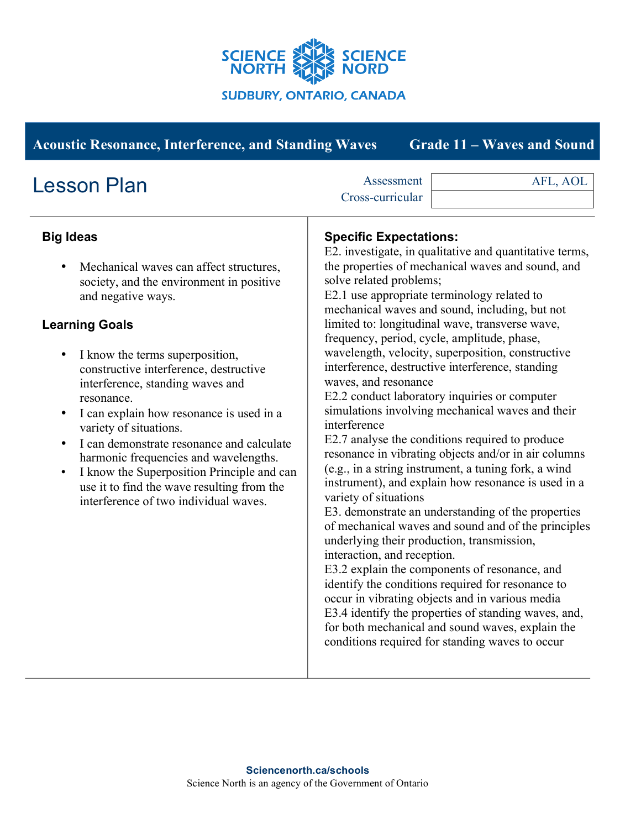

| <b>Acoustic Resonance, Interference, and Standing Waves</b>                                                                                                                                                                                                                                                                                                                                                                                                                                                                                                                                                                                     | <b>Grade 11 - Waves and Sound</b>                                                                                                                                                                                                                                                                                                                                                                                                                                                                                                                                                                                                                                                                                                                                                                                                                                                                                                                                                                                                                                                                                                                                                                                                                                                                                                                                                                      |
|-------------------------------------------------------------------------------------------------------------------------------------------------------------------------------------------------------------------------------------------------------------------------------------------------------------------------------------------------------------------------------------------------------------------------------------------------------------------------------------------------------------------------------------------------------------------------------------------------------------------------------------------------|--------------------------------------------------------------------------------------------------------------------------------------------------------------------------------------------------------------------------------------------------------------------------------------------------------------------------------------------------------------------------------------------------------------------------------------------------------------------------------------------------------------------------------------------------------------------------------------------------------------------------------------------------------------------------------------------------------------------------------------------------------------------------------------------------------------------------------------------------------------------------------------------------------------------------------------------------------------------------------------------------------------------------------------------------------------------------------------------------------------------------------------------------------------------------------------------------------------------------------------------------------------------------------------------------------------------------------------------------------------------------------------------------------|
| <b>Lesson Plan</b>                                                                                                                                                                                                                                                                                                                                                                                                                                                                                                                                                                                                                              | Assessment<br>AFL, AOL<br>Cross-curricular                                                                                                                                                                                                                                                                                                                                                                                                                                                                                                                                                                                                                                                                                                                                                                                                                                                                                                                                                                                                                                                                                                                                                                                                                                                                                                                                                             |
| <b>Big Ideas</b><br>Mechanical waves can affect structures,<br>٠<br>society, and the environment in positive<br>and negative ways.<br><b>Learning Goals</b><br>I know the terms superposition,<br>$\bullet$<br>constructive interference, destructive<br>interference, standing waves and<br>resonance.<br>I can explain how resonance is used in a<br>$\bullet$<br>variety of situations.<br>I can demonstrate resonance and calculate<br>$\bullet$<br>harmonic frequencies and wavelengths.<br>I know the Superposition Principle and can<br>$\bullet$<br>use it to find the wave resulting from the<br>interference of two individual waves. | <b>Specific Expectations:</b><br>E2. investigate, in qualitative and quantitative terms,<br>the properties of mechanical waves and sound, and<br>solve related problems;<br>E2.1 use appropriate terminology related to<br>mechanical waves and sound, including, but not<br>limited to: longitudinal wave, transverse wave,<br>frequency, period, cycle, amplitude, phase,<br>wavelength, velocity, superposition, constructive<br>interference, destructive interference, standing<br>waves, and resonance<br>E2.2 conduct laboratory inquiries or computer<br>simulations involving mechanical waves and their<br>interference<br>E2.7 analyse the conditions required to produce<br>resonance in vibrating objects and/or in air columns<br>(e.g., in a string instrument, a tuning fork, a wind<br>instrument), and explain how resonance is used in a<br>variety of situations<br>E3. demonstrate an understanding of the properties<br>of mechanical waves and sound and of the principles<br>underlying their production, transmission,<br>interaction, and reception.<br>E3.2 explain the components of resonance, and<br>identify the conditions required for resonance to<br>occur in vibrating objects and in various media<br>E3.4 identify the properties of standing waves, and,<br>for both mechanical and sound waves, explain the<br>conditions required for standing waves to occur |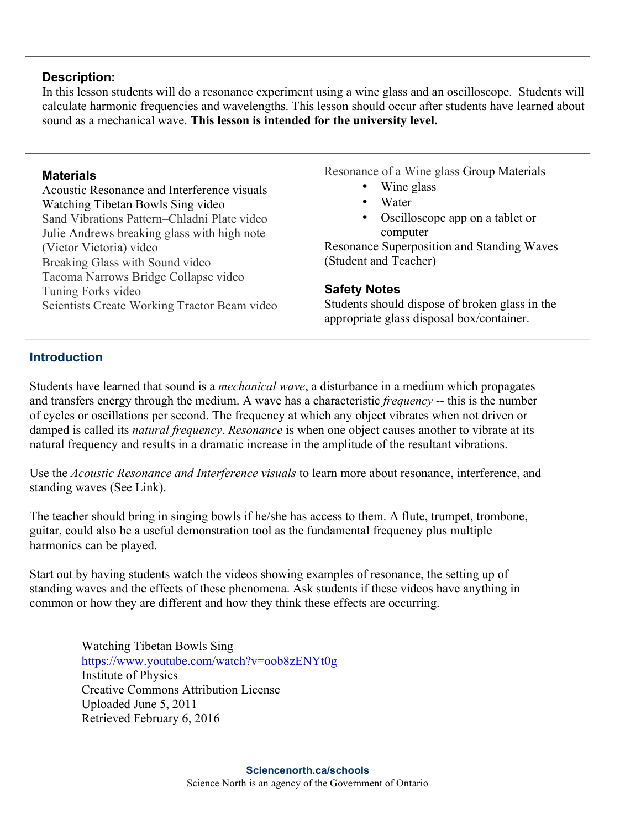### **Description:**

In this lesson students will do a resonance experiment using a wine glass and an oscilloscope. Students will calculate harmonic frequencies and wavelengths. This lesson should occur after students have learned about sound as a mechanical wave. **This lesson is intended for the university level.**

#### **Materials**

Acoustic Resonance and Interference visuals Watching Tibetan Bowls Sing video Sand Vibrations Pattern–Chladni Plate video Julie Andrews breaking glass with high note (Victor Victoria) video Breaking Glass with Sound video Tacoma Narrows Bridge Collapse video Tuning Forks video Scientists Create Working Tractor Beam video Resonance of a Wine glass Group Materials

- Wine glass
- Water
- Oscilloscope app on a tablet or computer

Resonance Superposition and Standing Waves (Student and Teacher)

## **Safety Notes**

Students should dispose of broken glass in the appropriate glass disposal box/container.

## **Introduction**

Students have learned that sound is a *mechanical wave*, a disturbance in a medium which propagates and transfers energy through the medium. A wave has a characteristic *frequency* -- this is the number of cycles or oscillations per second. The frequency at which any object vibrates when not driven or damped is called its *natural frequency*. *Resonance* is when one object causes another to vibrate at its natural frequency and results in a dramatic increase in the amplitude of the resultant vibrations.

Use the *Acoustic Resonance and Interference visuals* to learn more about resonance, interference, and standing waves (See Link).

The teacher should bring in singing bowls if he/she has access to them. A flute, trumpet, trombone, guitar, could also be a useful demonstration tool as the fundamental frequency plus multiple harmonics can be played.

Start out by having students watch the videos showing examples of resonance, the setting up of standing waves and the effects of these phenomena. Ask students if these videos have anything in common or how they are different and how they think these effects are occurring.

> Watching Tibetan Bowls Sing https://www.youtube.com/watch?v=oob8zENYt0g Institute of Physics Creative Commons Attribution License Uploaded June 5, 2011 Retrieved February 6, 2016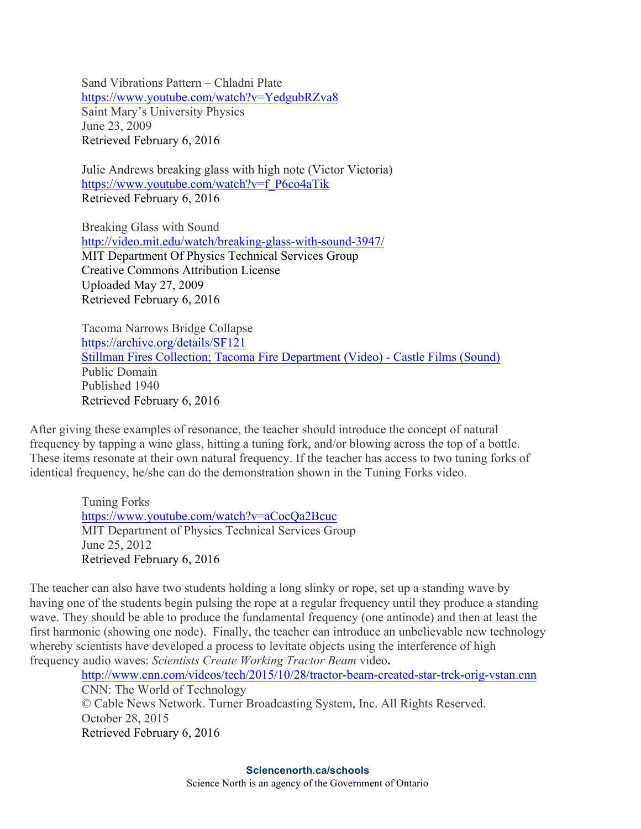Sand Vibrations Pattern – Chladni Plate https://www.youtube.com/watch?v=YedgubRZva8 Saint Mary's University Physics June 23, 2009 Retrieved February 6, 2016

Julie Andrews breaking glass with high note (Victor Victoria) https://www.youtube.com/watch?v=f\_P6co4aTik Retrieved February 6, 2016

Breaking Glass with Sound http://video.mit.edu/watch/breaking-glass-with-sound-3947/ MIT Department Of Physics Technical Services Group Creative Commons Attribution License Uploaded May 27, 2009 Retrieved February 6, 2016

Tacoma Narrows Bridge Collapse https://archive.org/details/SF121 Stillman Fires Collection; Tacoma Fire Department (Video) - Castle Films (Sound) Public Domain Published 1940 Retrieved February 6, 2016

After giving these examples of resonance, the teacher should introduce the concept of natural frequency by tapping a wine glass, hitting a tuning fork, and/or blowing across the top of a bottle. These items resonate at their own natural frequency. If the teacher has access to two tuning forks of identical frequency, he/she can do the demonstration shown in the Tuning Forks video.

> Tuning Forks https://www.youtube.com/watch?v=aCocQa2Bcuc MIT Department of Physics Technical Services Group June 25, 2012 Retrieved February 6, 2016

The teacher can also have two students holding a long slinky or rope, set up a standing wave by having one of the students begin pulsing the rope at a regular frequency until they produce a standing wave. They should be able to produce the fundamental frequency (one antinode) and then at least the first harmonic (showing one node). Finally, the teacher can introduce an unbelievable new technology whereby scientists have developed a process to levitate objects using the interference of high frequency audio waves: *Scientists Create Working Tractor Beam* video**.** 

http://www.cnn.com/videos/tech/2015/10/28/tractor-beam-created-star-trek-orig-vstan.cnn CNN: The World of Technology © Cable News Network. Turner Broadcasting System, Inc. All Rights Reserved. October 28, 2015 Retrieved February 6, 2016